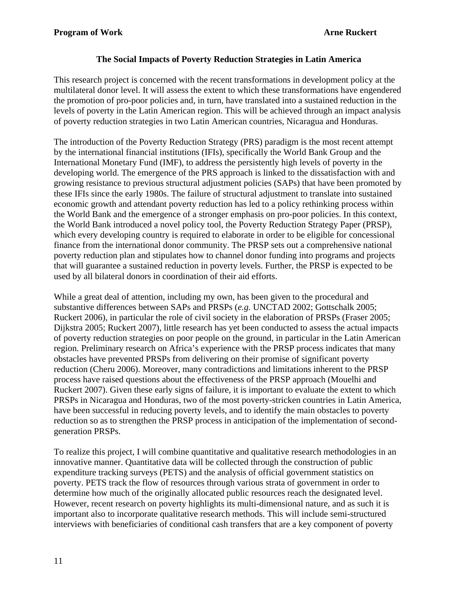## **The Social Impacts of Poverty Reduction Strategies in Latin America**

This research project is concerned with the recent transformations in development policy at the multilateral donor level. It will assess the extent to which these transformations have engendered the promotion of pro-poor policies and, in turn, have translated into a sustained reduction in the levels of poverty in the Latin American region. This will be achieved through an impact analysis of poverty reduction strategies in two Latin American countries, Nicaragua and Honduras.

The introduction of the Poverty Reduction Strategy (PRS) paradigm is the most recent attempt by the international financial institutions (IFIs), specifically the World Bank Group and the International Monetary Fund (IMF), to address the persistently high levels of poverty in the developing world. The emergence of the PRS approach is linked to the dissatisfaction with and growing resistance to previous structural adjustment policies (SAPs) that have been promoted by these IFIs since the early 1980s. The failure of structural adjustment to translate into sustained economic growth and attendant poverty reduction has led to a policy rethinking process within the World Bank and the emergence of a stronger emphasis on pro-poor policies. In this context, the World Bank introduced a novel policy tool, the Poverty Reduction Strategy Paper (PRSP), which every developing country is required to elaborate in order to be eligible for concessional finance from the international donor community. The PRSP sets out a comprehensive national poverty reduction plan and stipulates how to channel donor funding into programs and projects that will guarantee a sustained reduction in poverty levels. Further, the PRSP is expected to be used by all bilateral donors in coordination of their aid efforts.

While a great deal of attention, including my own, has been given to the procedural and substantive differences between SAPs and PRSPs (*e.g.* UNCTAD 2002; Gottschalk 2005; Ruckert 2006), in particular the role of civil society in the elaboration of PRSPs (Fraser 2005; Dijkstra 2005; Ruckert 2007), little research has yet been conducted to assess the actual impacts of poverty reduction strategies on poor people on the ground, in particular in the Latin American region. Preliminary research on Africa's experience with the PRSP process indicates that many obstacles have prevented PRSPs from delivering on their promise of significant poverty reduction (Cheru 2006). Moreover, many contradictions and limitations inherent to the PRSP process have raised questions about the effectiveness of the PRSP approach (Mouelhi and Ruckert 2007). Given these early signs of failure, it is important to evaluate the extent to which PRSPs in Nicaragua and Honduras, two of the most poverty-stricken countries in Latin America, have been successful in reducing poverty levels, and to identify the main obstacles to poverty reduction so as to strengthen the PRSP process in anticipation of the implementation of secondgeneration PRSPs.

To realize this project, I will combine quantitative and qualitative research methodologies in an innovative manner. Quantitative data will be collected through the construction of public expenditure tracking surveys (PETS) and the analysis of official government statistics on poverty. PETS track the flow of resources through various strata of government in order to determine how much of the originally allocated public resources reach the designated level. However, recent research on poverty highlights its multi-dimensional nature, and as such it is important also to incorporate qualitative research methods. This will include semi-structured interviews with beneficiaries of conditional cash transfers that are a key component of poverty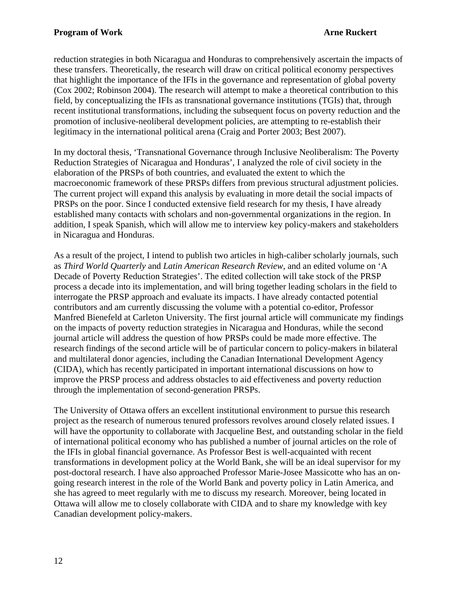reduction strategies in both Nicaragua and Honduras to comprehensively ascertain the impacts of these transfers. Theoretically, the research will draw on critical political economy perspectives that highlight the importance of the IFIs in the governance and representation of global poverty (Cox 2002; Robinson 2004). The research will attempt to make a theoretical contribution to this field, by conceptualizing the IFIs as transnational governance institutions (TGIs) that, through recent institutional transformations, including the subsequent focus on poverty reduction and the promotion of inclusive-neoliberal development policies, are attempting to re-establish their legitimacy in the international political arena (Craig and Porter 2003; Best 2007).

In my doctoral thesis, 'Transnational Governance through Inclusive Neoliberalism: The Poverty Reduction Strategies of Nicaragua and Honduras', I analyzed the role of civil society in the elaboration of the PRSPs of both countries, and evaluated the extent to which the macroeconomic framework of these PRSPs differs from previous structural adjustment policies. The current project will expand this analysis by evaluating in more detail the social impacts of PRSPs on the poor. Since I conducted extensive field research for my thesis, I have already established many contacts with scholars and non-governmental organizations in the region. In addition, I speak Spanish, which will allow me to interview key policy-makers and stakeholders in Nicaragua and Honduras.

As a result of the project, I intend to publish two articles in high-caliber scholarly journals, such as *Third World Quarterly* and *Latin American Research Review*, and an edited volume on 'A Decade of Poverty Reduction Strategies'. The edited collection will take stock of the PRSP process a decade into its implementation, and will bring together leading scholars in the field to interrogate the PRSP approach and evaluate its impacts. I have already contacted potential contributors and am currently discussing the volume with a potential co-editor, Professor Manfred Bienefeld at Carleton University. The first journal article will communicate my findings on the impacts of poverty reduction strategies in Nicaragua and Honduras, while the second journal article will address the question of how PRSPs could be made more effective. The research findings of the second article will be of particular concern to policy-makers in bilateral and multilateral donor agencies, including the Canadian International Development Agency (CIDA), which has recently participated in important international discussions on how to improve the PRSP process and address obstacles to aid effectiveness and poverty reduction through the implementation of second-generation PRSPs.

The University of Ottawa offers an excellent institutional environment to pursue this research project as the research of numerous tenured professors revolves around closely related issues. I will have the opportunity to collaborate with Jacqueline Best, and outstanding scholar in the field of international political economy who has published a number of journal articles on the role of the IFIs in global financial governance. As Professor Best is well-acquainted with recent transformations in development policy at the World Bank, she will be an ideal supervisor for my post-doctoral research. I have also approached Professor Marie-Josee Massicotte who has an ongoing research interest in the role of the World Bank and poverty policy in Latin America, and she has agreed to meet regularly with me to discuss my research. Moreover, being located in Ottawa will allow me to closely collaborate with CIDA and to share my knowledge with key Canadian development policy-makers.